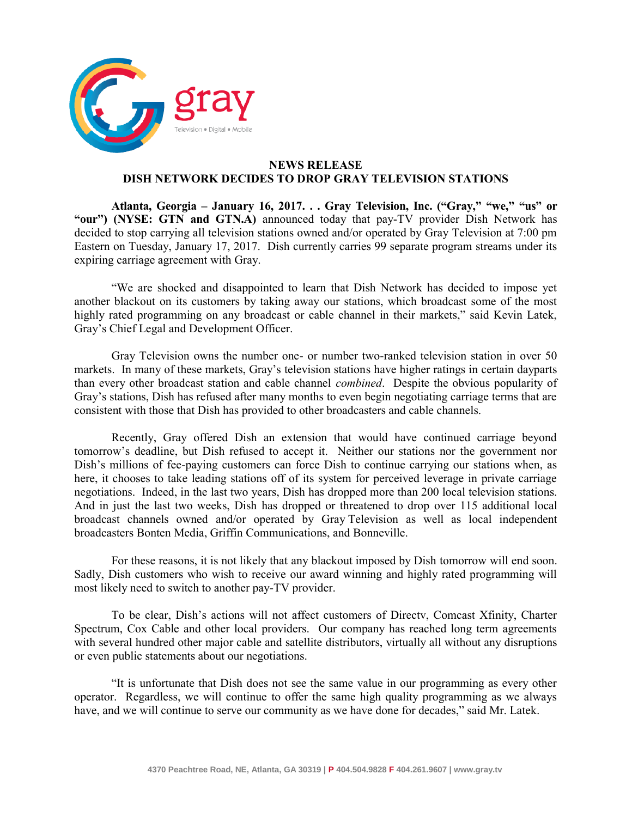

## **NEWS RELEASE DISH NETWORK DECIDES TO DROP GRAY TELEVISION STATIONS**

**Atlanta, Georgia – January 16, 2017. . . Gray Television, Inc. ("Gray," "we," "us" or "our") (NYSE: GTN and GTN.A)** announced today that pay-TV provider Dish Network has decided to stop carrying all television stations owned and/or operated by Gray Television at 7:00 pm Eastern on Tuesday, January 17, 2017. Dish currently carries 99 separate program streams under its expiring carriage agreement with Gray.

"We are shocked and disappointed to learn that Dish Network has decided to impose yet another blackout on its customers by taking away our stations, which broadcast some of the most highly rated programming on any broadcast or cable channel in their markets," said Kevin Latek, Gray's Chief Legal and Development Officer.

Gray Television owns the number one- or number two-ranked television station in over 50 markets. In many of these markets, Gray's television stations have higher ratings in certain dayparts than every other broadcast station and cable channel *combined*. Despite the obvious popularity of Gray's stations, Dish has refused after many months to even begin negotiating carriage terms that are consistent with those that Dish has provided to other broadcasters and cable channels.

Recently, Gray offered Dish an extension that would have continued carriage beyond tomorrow's deadline, but Dish refused to accept it. Neither our stations nor the government nor Dish's millions of fee-paying customers can force Dish to continue carrying our stations when, as here, it chooses to take leading stations off of its system for perceived leverage in private carriage negotiations. Indeed, in the last two years, Dish has dropped more than 200 local television stations. And in just the last two weeks, Dish has dropped or threatened to drop over 115 additional local broadcast channels owned and/or operated by Gray Television as well as local independent broadcasters Bonten Media, Griffin Communications, and Bonneville.

For these reasons, it is not likely that any blackout imposed by Dish tomorrow will end soon. Sadly, Dish customers who wish to receive our award winning and highly rated programming will most likely need to switch to another pay-TV provider.

To be clear, Dish's actions will not affect customers of Directv, Comcast Xfinity, Charter Spectrum, Cox Cable and other local providers. Our company has reached long term agreements with several hundred other major cable and satellite distributors, virtually all without any disruptions or even public statements about our negotiations.

"It is unfortunate that Dish does not see the same value in our programming as every other operator. Regardless, we will continue to offer the same high quality programming as we always have, and we will continue to serve our community as we have done for decades," said Mr. Latek.